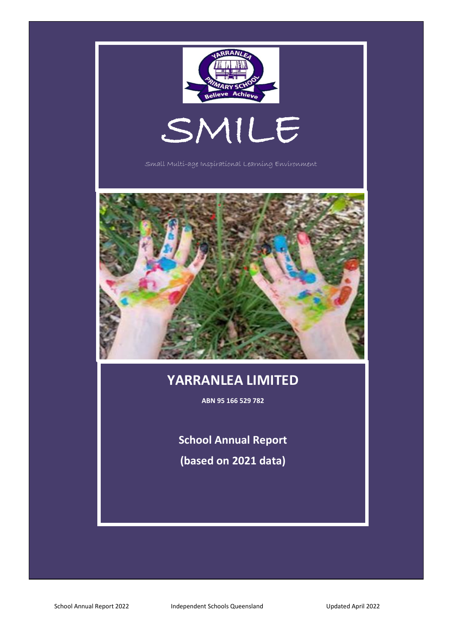

# **YARRANLEA LIMITED**

**ABN 95 166 529 782**

**School Annual Report**

**(based on 2021 data)**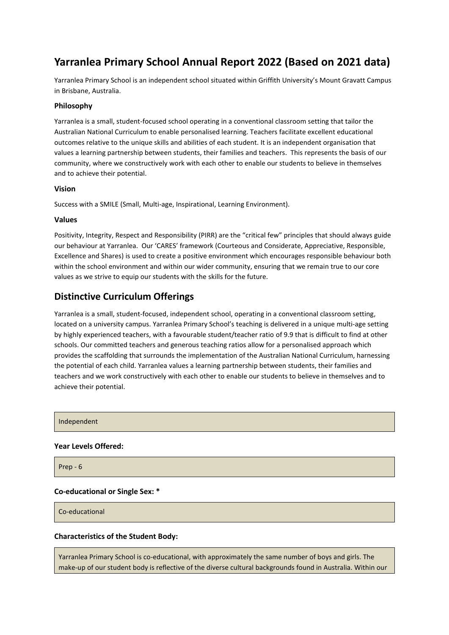# **Yarranlea Primary School Annual Report 2022 (Based on 2021 data)**

Yarranlea Primary School is an independent school situated within Griffith University's Mount Gravatt Campus in Brisbane, Australia.

#### **Philosophy**

Yarranlea is a small, student-focused school operating in a conventional classroom setting that tailor the Australian National Curriculum to enable personalised learning. Teachers facilitate excellent educational outcomes relative to the unique skills and abilities of each student. It is an independent organisation that values a learning partnership between students, their families and teachers. This represents the basis of our community, where we constructively work with each other to enable our students to believe in themselves and to achieve their potential.

#### **Vision**

Success with a SMILE (Small, Multi-age, Inspirational, Learning Environment).

#### **Values**

Positivity, Integrity, Respect and Responsibility (PIRR) are the "critical few" principles that should always guide our behaviour at Yarranlea. Our 'CARES' framework (Courteous and Considerate, Appreciative, Responsible, Excellence and Shares) is used to create a positive environment which encourages responsible behaviour both within the school environment and within our wider community, ensuring that we remain true to our core values as we strive to equip our students with the skills for the future.

# **Distinctive Curriculum Offerings**

Yarranlea is a small, student-focused, independent school, operating in a conventional classroom setting, located on a university campus. Yarranlea Primary School's teaching is delivered in a unique multi-age setting by highly experienced teachers, with a favourable student/teacher ratio of 9.9 that is difficult to find at other schools. Our committed teachers and generous teaching ratios allow for a personalised approach which provides the scaffolding that surrounds the implementation of the Australian National Curriculum, harnessing the potential of each child. Yarranlea values a learning partnership between students, their families and teachers and we work constructively with each other to enable our students to believe in themselves and to achieve their potential.

Independent

#### **Year Levels Offered:**

Prep - 6

#### **Co-educational or Single Sex: \***

Co-educational

#### **Characteristics of the Student Body:**

Yarranlea Primary School is co-educational, with approximately the same number of boys and girls. The make-up of our student body is reflective of the diverse cultural backgrounds found in Australia. Within our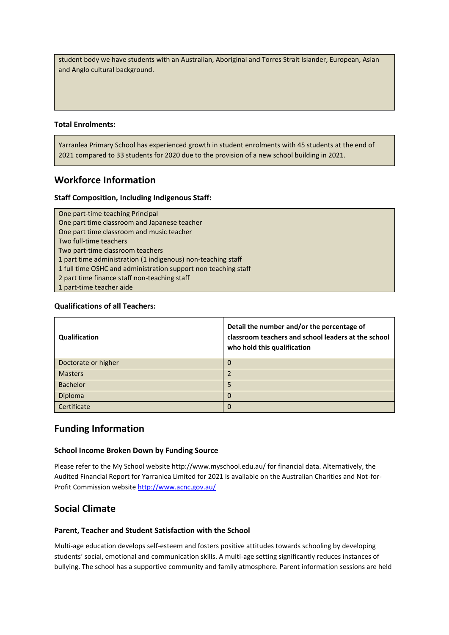student body we have students with an Australian, Aboriginal and Torres Strait Islander, European, Asian and Anglo cultural background.

#### **Total Enrolments:**

Yarranlea Primary School has experienced growth in student enrolments with 45 students at the end of 2021 compared to 33 students for 2020 due to the provision of a new school building in 2021.

### **Workforce Information**

#### **Staff Composition, Including Indigenous Staff:**

One part-time teaching Principal One part time classroom and Japanese teacher One part time classroom and music teacher Two full-time teachers Two part-time classroom teachers 1 part time administration (1 indigenous) non-teaching staff 1 full time OSHC and administration support non teaching staff 2 part time finance staff non-teaching staff 1 part-time teacher aide

#### **Qualifications of all Teachers:**

| Qualification       | Detail the number and/or the percentage of<br>classroom teachers and school leaders at the school<br>who hold this qualification |
|---------------------|----------------------------------------------------------------------------------------------------------------------------------|
| Doctorate or higher | 0                                                                                                                                |
| <b>Masters</b>      | $\mathcal{P}$                                                                                                                    |
| <b>Bachelor</b>     | 5                                                                                                                                |
| Diploma             | 0                                                                                                                                |
| Certificate         | 0                                                                                                                                |

## **Funding Information**

#### **School Income Broken Down by Funding Source**

Please refer to the My School website http://www.myschool.edu.au/ for financial data. Alternatively, the Audited Financial Report for Yarranlea Limited for 2021 is available on the Australian Charities and Not-for-Profit Commission website<http://www.acnc.gov.au/>

### **Social Climate**

#### **Parent, Teacher and Student Satisfaction with the School**

Multi-age education develops self-esteem and fosters positive attitudes towards schooling by developing students' social, emotional and communication skills. A multi-age setting significantly reduces instances of bullying. The school has a supportive community and family atmosphere. Parent information sessions are held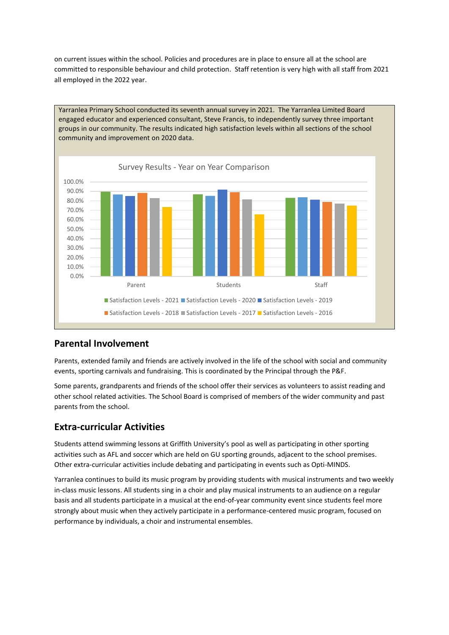on current issues within the school. Policies and procedures are in place to ensure all at the school are committed to responsible behaviour and child protection. Staff retention is very high with all staff from 2021 all employed in the 2022 year.



# **Parental Involvement**

Parents, extended family and friends are actively involved in the life of the school with social and community events, sporting carnivals and fundraising. This is coordinated by the Principal through the P&F.

Some parents, grandparents and friends of the school offer their services as volunteers to assist reading and other school related activities. The School Board is comprised of members of the wider community and past parents from the school.

# **Extra-curricular Activities**

Students attend swimming lessons at Griffith University's pool as well as participating in other sporting activities such as AFL and soccer which are held on GU sporting grounds, adjacent to the school premises. Other extra-curricular activities include debating and participating in events such as Opti-MINDS.

Yarranlea continues to build its music program by providing students with musical instruments and two weekly in-class music lessons. All students sing in a choir and play musical instruments to an audience on a regular basis and all students participate in a musical at the end-of-year community event since students feel more strongly about music when they actively participate in a performance-centered music program, focused on performance by individuals, a choir and instrumental ensembles.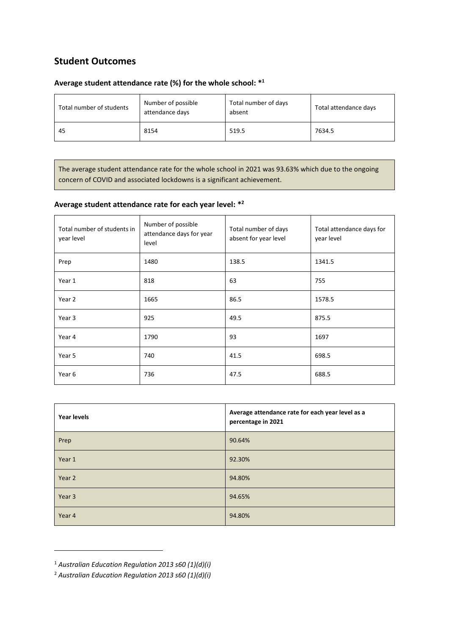# **Student Outcomes**

## **Average student attendance rate (%) for the whole school: \* 1**

| Total number of students | Number of possible<br>attendance days | Total number of days<br>absent | Total attendance days |
|--------------------------|---------------------------------------|--------------------------------|-----------------------|
| 45                       | 8154                                  | 519.5                          | 7634.5                |

The average student attendance rate for the whole school in 2021 was 93.63% which due to the ongoing concern of COVID and associated lockdowns is a significant achievement.

# **Average student attendance rate for each year level: \* 2**

| Total number of students in<br>year level | Number of possible<br>attendance days for year<br>level | Total number of days<br>absent for year level | Total attendance days for<br>year level |
|-------------------------------------------|---------------------------------------------------------|-----------------------------------------------|-----------------------------------------|
| Prep                                      | 1480                                                    | 138.5                                         | 1341.5                                  |
| Year 1                                    | 818                                                     | 63                                            | 755                                     |
| Year 2                                    | 1665                                                    | 86.5                                          | 1578.5                                  |
| Year 3                                    | 925                                                     | 49.5                                          | 875.5                                   |
| Year 4                                    | 1790                                                    | 93                                            | 1697                                    |
| Year 5                                    | 740                                                     | 41.5                                          | 698.5                                   |
| Year 6                                    | 736                                                     | 47.5                                          | 688.5                                   |

| <b>Year levels</b> | Average attendance rate for each year level as a<br>percentage in 2021 |
|--------------------|------------------------------------------------------------------------|
| Prep               | 90.64%                                                                 |
| Year 1             | 92.30%                                                                 |
| Year 2             | 94.80%                                                                 |
| Year 3             | 94.65%                                                                 |
| Year 4             | 94.80%                                                                 |

<sup>1</sup> *Australian Education Regulation 2013 s60 (1)(d)(i)*

<sup>2</sup> *Australian Education Regulation 2013 s60 (1)(d)(i)*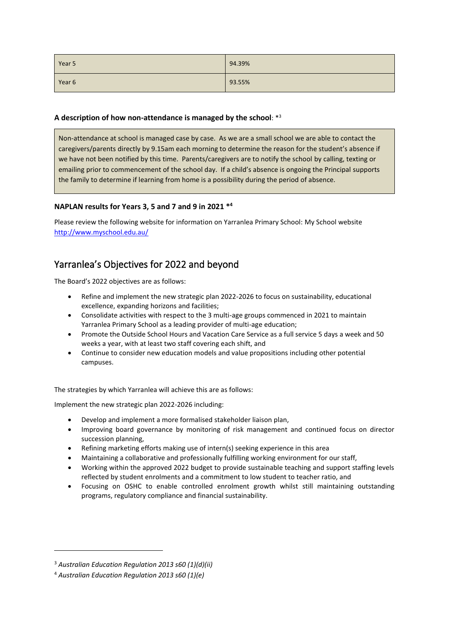| Year 5 | 94.39% |
|--------|--------|
| Year 6 | 93.55% |

## **A description of how non-attendance is managed by the school**: \* 3

Non-attendance at school is managed case by case. As we are a small school we are able to contact the caregivers/parents directly by 9.15am each morning to determine the reason for the student's absence if we have not been notified by this time. Parents/caregivers are to notify the school by calling, texting or emailing prior to commencement of the school day. If a child's absence is ongoing the Principal supports the family to determine if learning from home is a possibility during the period of absence.

## **NAPLAN results for Years 3, 5 and 7 and 9 in 2021 \* 4**

Please review the following website for information on Yarranlea Primary School: My School website <http://www.myschool.edu.au/>

# Yarranlea's Objectives for 2022 and beyond

The Board's 2022 objectives are as follows:

- Refine and implement the new strategic plan 2022-2026 to focus on sustainability, educational excellence, expanding horizons and facilities;
- Consolidate activities with respect to the 3 multi-age groups commenced in 2021 to maintain Yarranlea Primary School as a leading provider of multi-age education;
- Promote the Outside School Hours and Vacation Care Service as a full service 5 days a week and 50 weeks a year, with at least two staff covering each shift, and
- Continue to consider new education models and value propositions including other potential campuses.

The strategies by which Yarranlea will achieve this are as follows:

Implement the new strategic plan 2022-2026 including:

- Develop and implement a more formalised stakeholder liaison plan,
- Improving board governance by monitoring of risk management and continued focus on director succession planning,
- Refining marketing efforts making use of intern(s) seeking experience in this area
- Maintaining a collaborative and professionally fulfilling working environment for our staff,
- Working within the approved 2022 budget to provide sustainable teaching and support staffing levels reflected by student enrolments and a commitment to low student to teacher ratio, and
- Focusing on OSHC to enable controlled enrolment growth whilst still maintaining outstanding programs, regulatory compliance and financial sustainability.

<sup>3</sup> *Australian Education Regulation 2013 s60 (1)(d)(ii)*

<sup>4</sup> *Australian Education Regulation 2013 s60 (1)(e)*